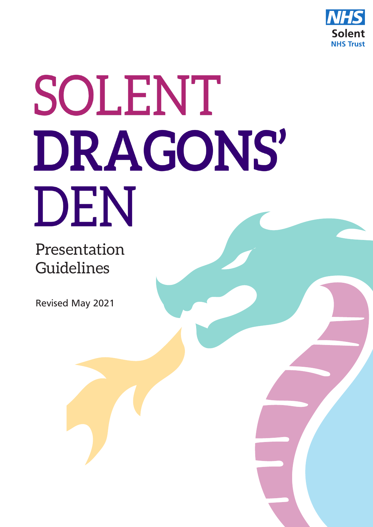

# SOLENT DRAGONS' DEN

Presentation Guidelines

Revised May 2021